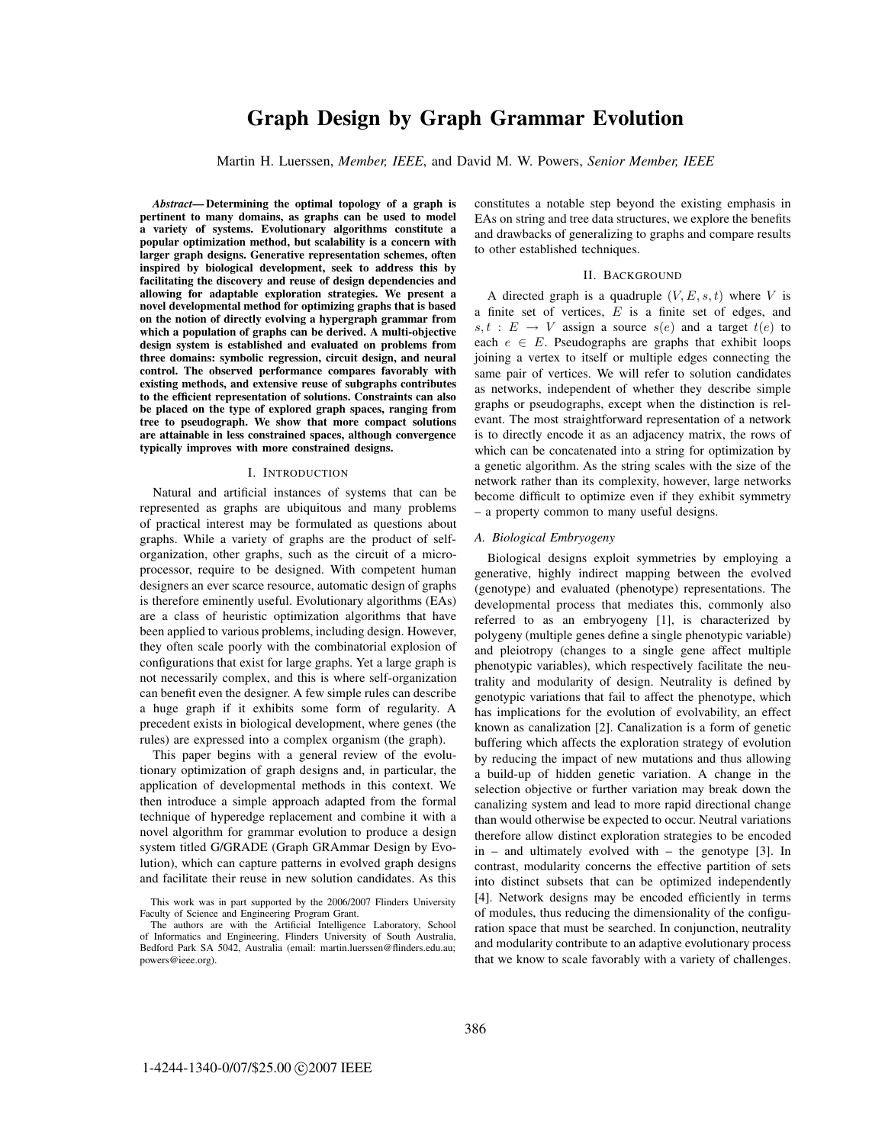# Graph Design by Graph Grammar Evolution

Martin H. Luerssen, *Member, IEEE*, and David M. W. Powers, *Senior Member, IEEE*

*Abstract*— Determining the optimal topology of a graph is pertinent to many domains, as graphs can be used to model a variety of systems. Evolutionary algorithms constitute a popular optimization method, but scalability is a concern with larger graph designs. Generative representation schemes, often inspired by biological development, seek to address this by facilitating the discovery and reuse of design dependencies and allowing for adaptable exploration strategies. We present a novel developmental method for optimizing graphs that is based on the notion of directly evolving a hypergraph grammar from which a population of graphs can be derived. A multi-objective design system is established and evaluated on problems from three domains: symbolic regression, circuit design, and neural control. The observed performance compares favorably with existing methods, and extensive reuse of subgraphs contributes to the efficient representation of solutions. Constraints can also be placed on the type of explored graph spaces, ranging from tree to pseudograph. We show that more compact solutions are attainable in less constrained spaces, although convergence typically improves with more constrained designs.

## I. INTRODUCTION

Natural and artificial instances of systems that can be represented as graphs are ubiquitous and many problems of practical interest may be formulated as questions about graphs. While a variety of graphs are the product of selforganization, other graphs, such as the circuit of a microprocessor, require to be designed. With competent human designers an ever scarce resource, automatic design of graphs is therefore eminently useful. Evolutionary algorithms (EAs) are a class of heuristic optimization algorithms that have been applied to various problems, including design. However, they often scale poorly with the combinatorial explosion of configurations that exist for large graphs. Yet a large graph is not necessarily complex, and this is where self-organization can benefit even the designer. A few simple rules can describe a huge graph if it exhibits some form of regularity. A precedent exists in biological development, where genes (the rules) are expressed into a complex organism (the graph).

This paper begins with a general review of the evolutionary optimization of graph designs and, in particular, the application of developmental methods in this context. We then introduce a simple approach adapted from the formal technique of hyperedge replacement and combine it with a novel algorithm for grammar evolution to produce a design system titled G/GRADE (Graph GRAmmar Design by Evolution), which can capture patterns in evolved graph designs and facilitate their reuse in new solution candidates. As this

constitutes a notable step beyond the existing emphasis in EAs on string and tree data structures, we explore the benefits and drawbacks of generalizing to graphs and compare results to other established techniques.

#### II. BACKGROUND

A directed graph is a quadruple  $(V, E, s, t)$  where V is a finite set of vertices,  $E$  is a finite set of edges, and  $s, t : E \rightarrow V$  assign a source  $s(e)$  and a target  $t(e)$  to each  $e \in E$ . Pseudographs are graphs that exhibit loops joining a vertex to itself or multiple edges connecting the same pair of vertices. We will refer to solution candidates as networks, independent of whether they describe simple graphs or pseudographs, except when the distinction is relevant. The most straightforward representation of a network is to directly encode it as an adjacency matrix, the rows of which can be concatenated into a string for optimization by a genetic algorithm. As the string scales with the size of the network rather than its complexity, however, large networks become difficult to optimize even if they exhibit symmetry – a property common to many useful designs.

## *A. Biological Embryogeny*

Biological designs exploit symmetries by employing a generative, highly indirect mapping between the evolved (genotype) and evaluated (phenotype) representations. The developmental process that mediates this, commonly also referred to as an embryogeny [1], is characterized by polygeny (multiple genes define a single phenotypic variable) and pleiotropy (changes to a single gene affect multiple phenotypic variables), which respectively facilitate the neutrality and modularity of design. Neutrality is defined by genotypic variations that fail to affect the phenotype, which has implications for the evolution of evolvability, an effect known as canalization [2]. Canalization is a form of genetic buffering which affects the exploration strategy of evolution by reducing the impact of new mutations and thus allowing a build-up of hidden genetic variation. A change in the selection objective or further variation may break down the canalizing system and lead to more rapid directional change than would otherwise be expected to occur. Neutral variations therefore allow distinct exploration strategies to be encoded in – and ultimately evolved with – the genotype [3]. In contrast, modularity concerns the effective partition of sets into distinct subsets that can be optimized independently [4]. Network designs may be encoded efficiently in terms of modules, thus reducing the dimensionality of the configuration space that must be searched. In conjunction, neutrality and modularity contribute to an adaptive evolutionary process that we know to scale favorably with a variety of challenges.

This work was in part supported by the 2006/2007 Flinders University Faculty of Science and Engineering Program Grant.

The authors are with the Artificial Intelligence Laboratory, School of Informatics and Engineering, Flinders University of South Australia, Bedford Park SA 5042, Australia (email: martin.luerssen@flinders.edu.au; powers@ieee.org).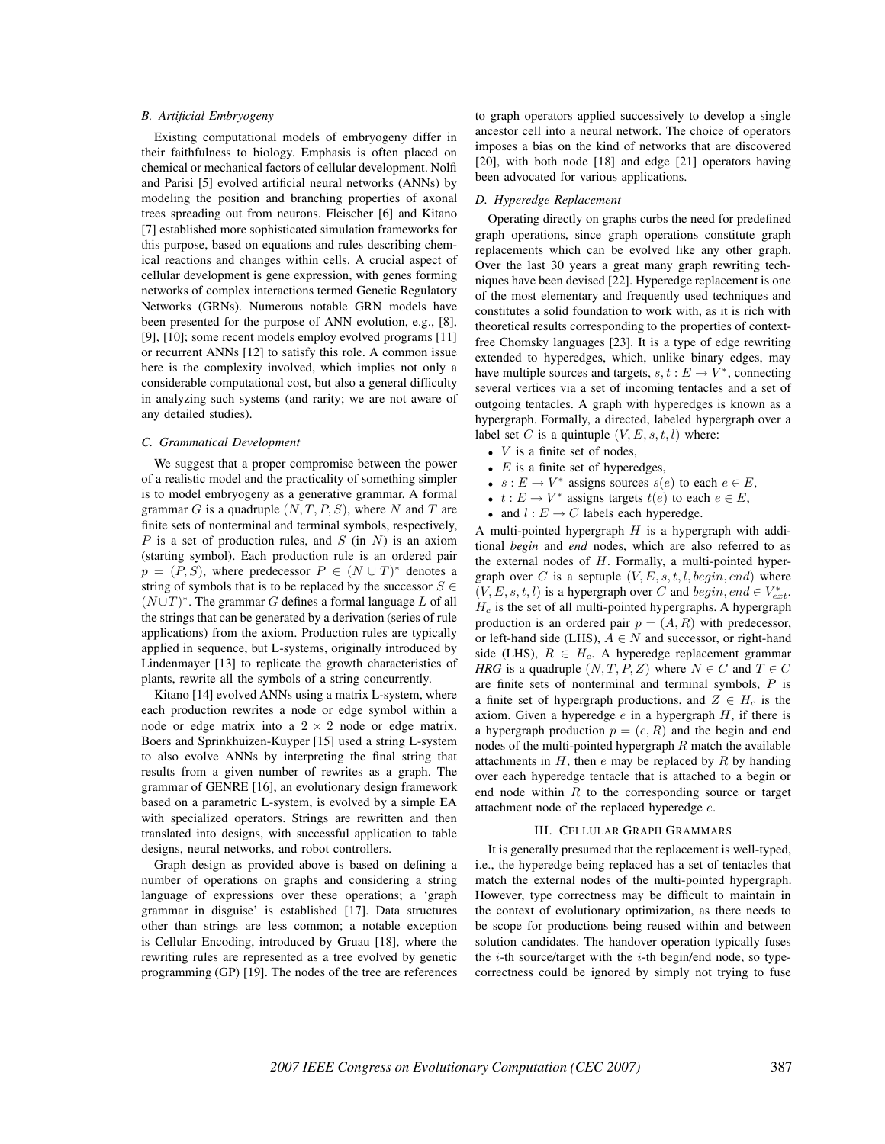# *B. Artificial Embryogeny*

Existing computational models of embryogeny differ in their faithfulness to biology. Emphasis is often placed on chemical or mechanical factors of cellular development. Nolfi and Parisi [5] evolved artificial neural networks (ANNs) by modeling the position and branching properties of axonal trees spreading out from neurons. Fleischer [6] and Kitano [7] established more sophisticated simulation frameworks for this purpose, based on equations and rules describing chemical reactions and changes within cells. A crucial aspect of cellular development is gene expression, with genes forming networks of complex interactions termed Genetic Regulatory Networks (GRNs). Numerous notable GRN models have been presented for the purpose of ANN evolution, e.g., [8], [9], [10]; some recent models employ evolved programs [11] or recurrent ANNs [12] to satisfy this role. A common issue here is the complexity involved, which implies not only a considerable computational cost, but also a general difficulty in analyzing such systems (and rarity; we are not aware of any detailed studies).

# *C. Grammatical Development*

We suggest that a proper compromise between the power of a realistic model and the practicality of something simpler is to model embryogeny as a generative grammar. A formal grammar G is a quadruple  $(N, T, P, S)$ , where N and T are finite sets of nonterminal and terminal symbols, respectively,  $P$  is a set of production rules, and  $S$  (in  $N$ ) is an axiom (starting symbol). Each production rule is an ordered pair  $p = (P, S)$ , where predecessor  $P \in (N \cup T)^*$  denotes a string of symbols that is to be replaced by the successor  $S \in$  $(N \cup T)^*$ . The grammar G defines a formal language L of all the strings that can be generated by a derivation (series of rule applications) from the axiom. Production rules are typically applied in sequence, but L-systems, originally introduced by Lindenmayer [13] to replicate the growth characteristics of plants, rewrite all the symbols of a string concurrently.

Kitano [14] evolved ANNs using a matrix L-system, where each production rewrites a node or edge symbol within a node or edge matrix into a  $2 \times 2$  node or edge matrix. Boers and Sprinkhuizen-Kuyper [15] used a string L-system to also evolve ANNs by interpreting the final string that results from a given number of rewrites as a graph. The grammar of GENRE [16], an evolutionary design framework based on a parametric L-system, is evolved by a simple EA with specialized operators. Strings are rewritten and then translated into designs, with successful application to table designs, neural networks, and robot controllers.

Graph design as provided above is based on defining a number of operations on graphs and considering a string language of expressions over these operations; a 'graph grammar in disguise' is established [17]. Data structures other than strings are less common; a notable exception is Cellular Encoding, introduced by Gruau [18], where the rewriting rules are represented as a tree evolved by genetic programming (GP) [19]. The nodes of the tree are references

to graph operators applied successively to develop a single ancestor cell into a neural network. The choice of operators imposes a bias on the kind of networks that are discovered [20], with both node [18] and edge [21] operators having been advocated for various applications.

# *D. Hyperedge Replacement*

Operating directly on graphs curbs the need for predefined graph operations, since graph operations constitute graph replacements which can be evolved like any other graph. Over the last 30 years a great many graph rewriting techniques have been devised [22]. Hyperedge replacement is one of the most elementary and frequently used techniques and constitutes a solid foundation to work with, as it is rich with theoretical results corresponding to the properties of contextfree Chomsky languages [23]. It is a type of edge rewriting extended to hyperedges, which, unlike binary edges, may have multiple sources and targets,  $s, t : E \to V^*$ , connecting several vertices via a set of incoming tentacles and a set of outgoing tentacles. A graph with hyperedges is known as a hypergraph. Formally, a directed, labeled hypergraph over a label set C is a quintuple  $(V, E, s, t, l)$  where:

- $V$  is a finite set of nodes,
- $\bullet$  E is a finite set of hyperedges,
- $s : E \to V^*$  assigns sources  $s(e)$  to each  $e \in E$ ,
- $t : E \to V^*$  assigns targets  $t(e)$  to each  $e \in E$ ,
- and  $l : E \to C$  labels each hyperedge.

A multi-pointed hypergraph  $H$  is a hypergraph with additional *begin* and *end* nodes, which are also referred to as the external nodes of H. Formally, a multi-pointed hypergraph over C is a septuple  $(V, E, s, t, l, begin, end)$  where  $(V, E, s, t, l)$  is a hypergraph over C and  $begin{aligned} V(E, s, t, l) &= \text{if } V_{ext}^{*} \\ V(E, t, t, l) &= \text{if } V_{ext}^{*} \end{aligned}$  $H_c$  is the set of all multi-pointed hypergraphs. A hypergraph production is an ordered pair  $p = (A, R)$  with predecessor, or left-hand side (LHS),  $A \in N$  and successor, or right-hand side (LHS),  $R \in H_c$ . A hyperedge replacement grammar *HRG* is a quadruple  $(N, T, P, Z)$  where  $N \in C$  and  $T \in C$ are finite sets of nonterminal and terminal symbols, P is a finite set of hypergraph productions, and  $Z \in H_c$  is the axiom. Given a hyperedge  $e$  in a hypergraph  $H$ , if there is a hypergraph production  $p = (e, R)$  and the begin and end nodes of the multi-pointed hypergraph  $R$  match the available attachments in  $H$ , then  $e$  may be replaced by  $R$  by handing over each hyperedge tentacle that is attached to a begin or end node within  $R$  to the corresponding source or target attachment node of the replaced hyperedge e.

#### III. CELLULAR GRAPH GRAMMARS

It is generally presumed that the replacement is well-typed, i.e., the hyperedge being replaced has a set of tentacles that match the external nodes of the multi-pointed hypergraph. However, type correctness may be difficult to maintain in the context of evolutionary optimization, as there needs to be scope for productions being reused within and between solution candidates. The handover operation typically fuses the  $i$ -th source/target with the  $i$ -th begin/end node, so typecorrectness could be ignored by simply not trying to fuse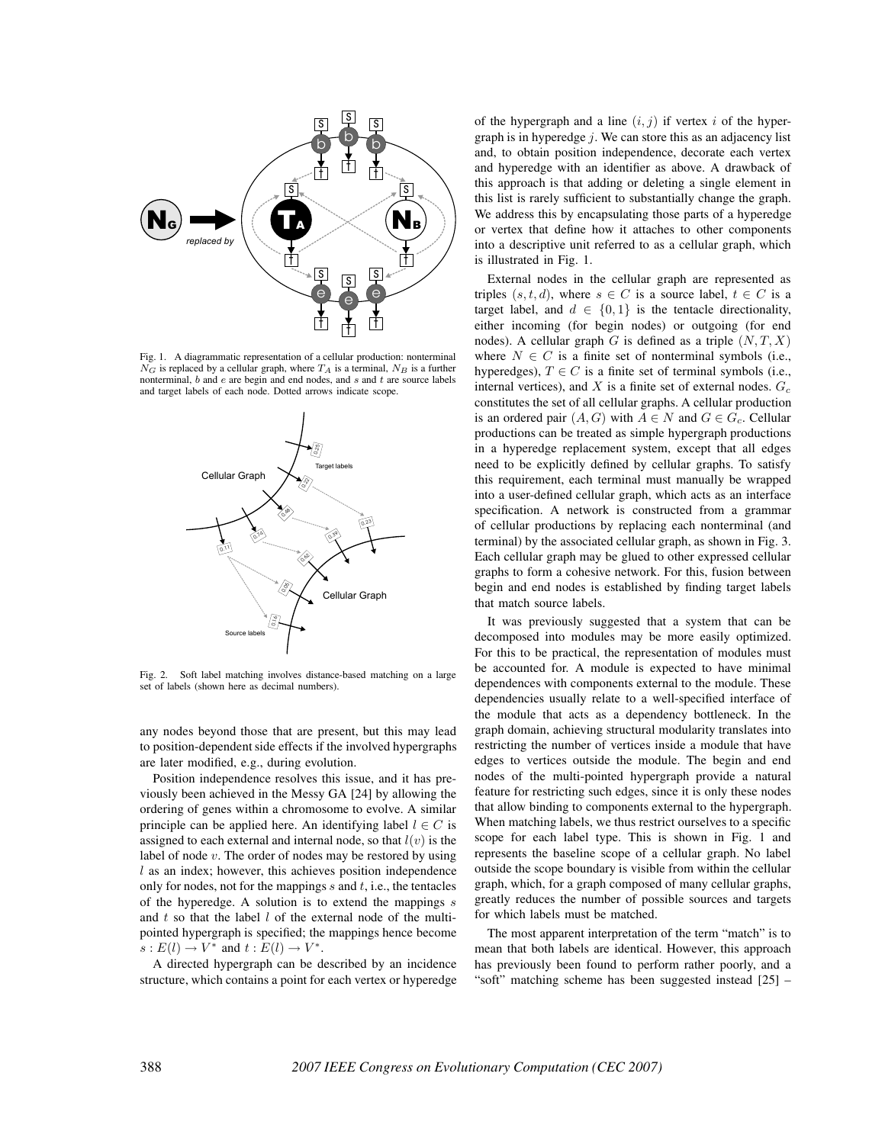

Fig. 1. A diagrammatic representation of a cellular production: nonterminal  $N_G$  is replaced by a cellular graph, where  $T_A$  is a terminal,  $N_B$  is a further nonterminal,  $b$  and  $e$  are begin and end nodes, and  $s$  and  $t$  are source labels and target labels of each node. Dotted arrows indicate scope.



Fig. 2. Soft label matching involves distance-based matching on a large set of labels (shown here as decimal numbers).

any nodes beyond those that are present, but this may lead to position-dependent side effects if the involved hypergraphs are later modified, e.g., during evolution.

Position independence resolves this issue, and it has previously been achieved in the Messy GA [24] by allowing the ordering of genes within a chromosome to evolve. A similar principle can be applied here. An identifying label  $l \in C$  is assigned to each external and internal node, so that  $l(v)$  is the label of node  $v$ . The order of nodes may be restored by using  $l$  as an index; however, this achieves position independence only for nodes, not for the mappings  $s$  and  $t$ , i.e., the tentacles of the hyperedge. A solution is to extend the mappings  $s$ and  $t$  so that the label  $l$  of the external node of the multipointed hypergraph is specified; the mappings hence become  $s: E(l) \to V^*$  and  $t: E(l) \to V^*$ .

A directed hypergraph can be described by an incidence structure, which contains a point for each vertex or hyperedge

of the hypergraph and a line  $(i, j)$  if vertex i of the hypergraph is in hyperedge  $j$ . We can store this as an adjacency list and, to obtain position independence, decorate each vertex and hyperedge with an identifier as above. A drawback of this approach is that adding or deleting a single element in this list is rarely sufficient to substantially change the graph. We address this by encapsulating those parts of a hyperedge or vertex that define how it attaches to other components into a descriptive unit referred to as a cellular graph, which is illustrated in Fig. 1.

External nodes in the cellular graph are represented as triples  $(s, t, d)$ , where  $s \in C$  is a source label,  $t \in C$  is a target label, and  $d \in \{0, 1\}$  is the tentacle directionality, either incoming (for begin nodes) or outgoing (for end nodes). A cellular graph G is defined as a triple  $(N, T, X)$ where  $N \in C$  is a finite set of nonterminal symbols (i.e., hyperedges),  $T \in C$  is a finite set of terminal symbols (i.e., internal vertices), and X is a finite set of external nodes.  $G_c$ constitutes the set of all cellular graphs. A cellular production is an ordered pair  $(A, G)$  with  $A \in N$  and  $G \in G_c$ . Cellular productions can be treated as simple hypergraph productions in a hyperedge replacement system, except that all edges need to be explicitly defined by cellular graphs. To satisfy this requirement, each terminal must manually be wrapped into a user-defined cellular graph, which acts as an interface specification. A network is constructed from a grammar of cellular productions by replacing each nonterminal (and terminal) by the associated cellular graph, as shown in Fig. 3. Each cellular graph may be glued to other expressed cellular graphs to form a cohesive network. For this, fusion between begin and end nodes is established by finding target labels that match source labels.

It was previously suggested that a system that can be decomposed into modules may be more easily optimized. For this to be practical, the representation of modules must be accounted for. A module is expected to have minimal dependences with components external to the module. These dependencies usually relate to a well-specified interface of the module that acts as a dependency bottleneck. In the graph domain, achieving structural modularity translates into restricting the number of vertices inside a module that have edges to vertices outside the module. The begin and end nodes of the multi-pointed hypergraph provide a natural feature for restricting such edges, since it is only these nodes that allow binding to components external to the hypergraph. When matching labels, we thus restrict ourselves to a specific scope for each label type. This is shown in Fig. 1 and represents the baseline scope of a cellular graph. No label outside the scope boundary is visible from within the cellular graph, which, for a graph composed of many cellular graphs, greatly reduces the number of possible sources and targets for which labels must be matched.

The most apparent interpretation of the term "match" is to mean that both labels are identical. However, this approach has previously been found to perform rather poorly, and a "soft" matching scheme has been suggested instead [25] –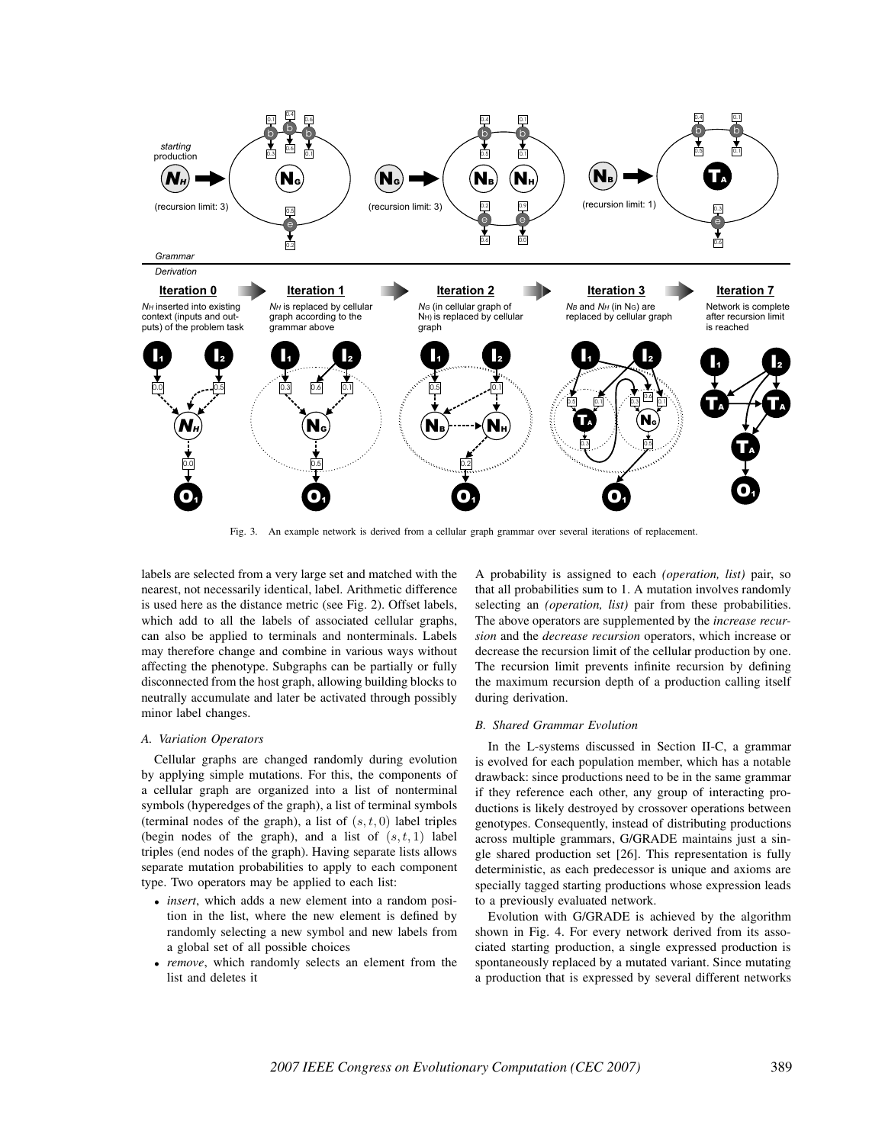

Fig. 3. An example network is derived from a cellular graph grammar over several iterations of replacement.

labels are selected from a very large set and matched with the nearest, not necessarily identical, label. Arithmetic difference is used here as the distance metric (see Fig. 2). Offset labels, which add to all the labels of associated cellular graphs, can also be applied to terminals and nonterminals. Labels may therefore change and combine in various ways without affecting the phenotype. Subgraphs can be partially or fully disconnected from the host graph, allowing building blocks to neutrally accumulate and later be activated through possibly minor label changes.

# *A. Variation Operators*

Cellular graphs are changed randomly during evolution by applying simple mutations. For this, the components of a cellular graph are organized into a list of nonterminal symbols (hyperedges of the graph), a list of terminal symbols (terminal nodes of the graph), a list of  $(s, t, 0)$  label triples (begin nodes of the graph), and a list of  $(s, t, 1)$  label triples (end nodes of the graph). Having separate lists allows separate mutation probabilities to apply to each component type. Two operators may be applied to each list:

- *insert*, which adds a new element into a random position in the list, where the new element is defined by randomly selecting a new symbol and new labels from a global set of all possible choices
- *remove*, which randomly selects an element from the list and deletes it

A probability is assigned to each *(operation, list)* pair, so that all probabilities sum to 1. A mutation involves randomly selecting an *(operation, list)* pair from these probabilities. The above operators are supplemented by the *increase recursion* and the *decrease recursion* operators, which increase or decrease the recursion limit of the cellular production by one. The recursion limit prevents infinite recursion by defining the maximum recursion depth of a production calling itself during derivation.

#### *B. Shared Grammar Evolution*

In the L-systems discussed in Section II-C, a grammar is evolved for each population member, which has a notable drawback: since productions need to be in the same grammar if they reference each other, any group of interacting productions is likely destroyed by crossover operations between genotypes. Consequently, instead of distributing productions across multiple grammars, G/GRADE maintains just a single shared production set [26]. This representation is fully deterministic, as each predecessor is unique and axioms are specially tagged starting productions whose expression leads to a previously evaluated network.

Evolution with G/GRADE is achieved by the algorithm shown in Fig. 4. For every network derived from its associated starting production, a single expressed production is spontaneously replaced by a mutated variant. Since mutating a production that is expressed by several different networks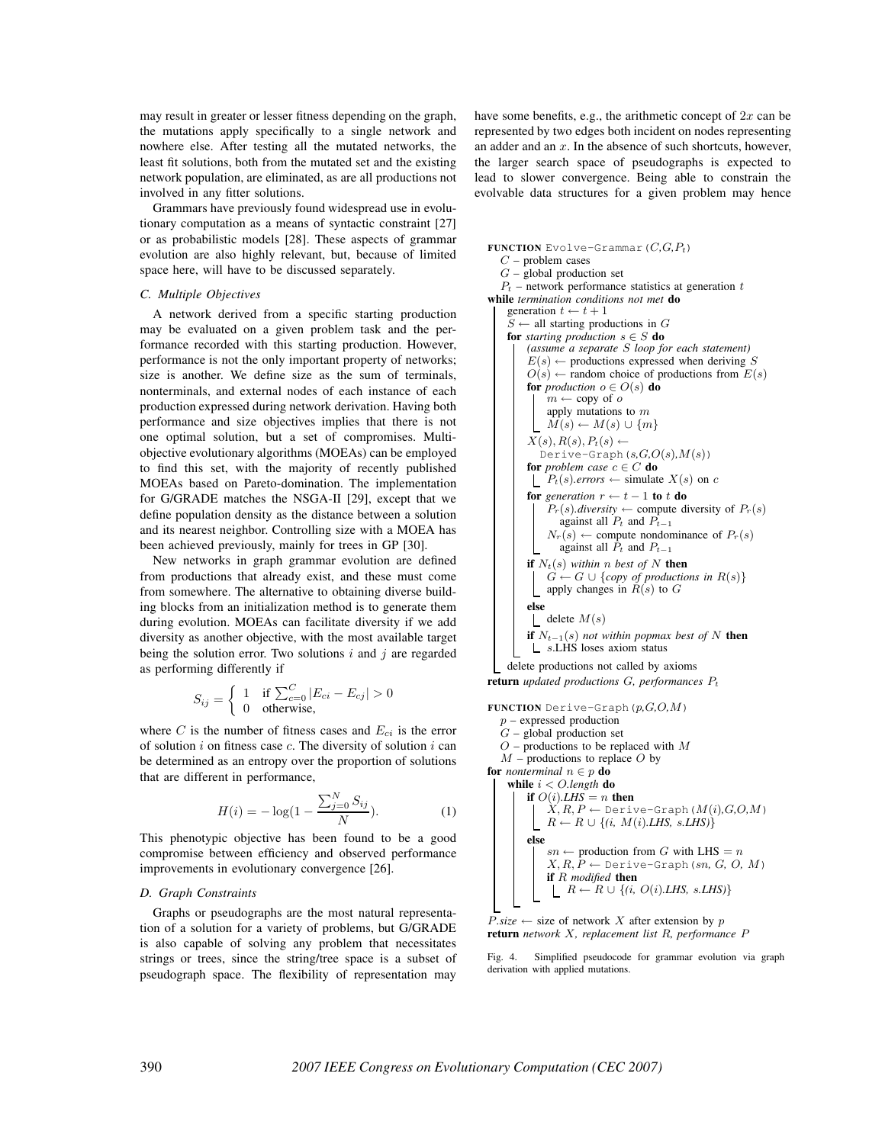may result in greater or lesser fitness depending on the graph, the mutations apply specifically to a single network and nowhere else. After testing all the mutated networks, the least fit solutions, both from the mutated set and the existing network population, are eliminated, as are all productions not involved in any fitter solutions.

Grammars have previously found widespread use in evolutionary computation as a means of syntactic constraint [27] or as probabilistic models [28]. These aspects of grammar evolution are also highly relevant, but, because of limited space here, will have to be discussed separately.

## *C. Multiple Objectives*

A network derived from a specific starting production may be evaluated on a given problem task and the performance recorded with this starting production. However, performance is not the only important property of networks; size is another. We define size as the sum of terminals, nonterminals, and external nodes of each instance of each production expressed during network derivation. Having both performance and size objectives implies that there is not one optimal solution, but a set of compromises. Multiobjective evolutionary algorithms (MOEAs) can be employed to find this set, with the majority of recently published MOEAs based on Pareto-domination. The implementation for G/GRADE matches the NSGA-II [29], except that we define population density as the distance between a solution and its nearest neighbor. Controlling size with a MOEA has been achieved previously, mainly for trees in GP [30].

New networks in graph grammar evolution are defined from productions that already exist, and these must come from somewhere. The alternative to obtaining diverse building blocks from an initialization method is to generate them during evolution. MOEAs can facilitate diversity if we add diversity as another objective, with the most available target being the solution error. Two solutions  $i$  and  $j$  are regarded as performing differently if

$$
S_{ij} = \begin{cases} 1 & \text{if } \sum_{c=0}^{C} |E_{ci} - E_{cj}| > 0\\ 0 & \text{otherwise,} \end{cases}
$$

where C is the number of fitness cases and  $E_{ci}$  is the error of solution  $i$  on fitness case  $c$ . The diversity of solution  $i$  can be determined as an entropy over the proportion of solutions that are different in performance,

$$
H(i) = -\log(1 - \frac{\sum_{j=0}^{N} S_{ij}}{N}).
$$
 (1)

This phenotypic objective has been found to be a good compromise between efficiency and observed performance improvements in evolutionary convergence [26].

## *D. Graph Constraints*

Graphs or pseudographs are the most natural representation of a solution for a variety of problems, but G/GRADE is also capable of solving any problem that necessitates strings or trees, since the string/tree space is a subset of pseudograph space. The flexibility of representation may

have some benefits, e.g., the arithmetic concept of  $2x$  can be represented by two edges both incident on nodes representing an adder and an  $x$ . In the absence of such shortcuts, however, the larger search space of pseudographs is expected to lead to slower convergence. Being able to constrain the evolvable data structures for a given problem may hence

# **FUNCTION** Evolve-Grammar $(C, G, P_t)$

```
C – problem cases
   G – global production set
   P<sub>t</sub> – network performance statistics at generation t
while termination conditions not met do
    generation t \leftarrow t + 1S \leftarrow all starting productions in G
    for starting production s \in S do
         (assume a separate S loop for each statement)
         E(s) \leftarrow productions expressed when deriving S
         O(s) \leftarrow random choice of productions from E(s)for production o \in O(s) do
             m \leftarrow copy of oapply mutations to m\widetilde{M}(s) \leftarrow M(s) \cup \{m\}X(s), R(s), P_t(s) \leftarrowDerive-Graph(s,G,O(s),M(s))
         for problem case c \in C do
          P_t(s).errors ← simulate X(s) on c
         for generation r \leftarrow t - 1 to t do
             P_r(s).diversity ← compute diversity of P_r(s)against all P_t and P_{t-1}N_r(s) \leftarrow compute nondominance of P_r(s)against all \overline{P}_t and P_{t-1}if N_t(s) within n best of N then
            G \leftarrow G \cup \{copy\ of\ productions\ in\ R(s)\}apply changes in R(s) to Gelse
         delete M(s)if N_{t-1}(s) not within popmax best of N then
         s.LHS loses axiom status
    delete productions not called by axioms
```
return *updated productions* G*, performances* P<sup>t</sup>

```
FUNCTION Derive-Graph(p,G,O,M)
  p – expressed production
  G – global production set
  O – productions to be replaced with MM – productions to replace O by
for nonterminal n \in p do
    while i < O.length do
        if O(i).LHS = n then
            X, R, P \leftarrow Derive-Graph(M(i), G, O, M)R \leftarrow R \cup \{(i, M(i).LHS, s. LHS)\}else
            sn \leftarrow production from G with LHS =nX, R, P \leftarrow Derive-Graph (sn, G, O, M)
            if R modified then
             R \leftarrow R \cup \{(i, O(i).LHS, s.LHS)\}
```
 $P.size \leftarrow size$  of network X after extension by p return *network* X*, replacement list* R*, performance* P

Fig. 4. Simplified pseudocode for grammar evolution via graph derivation with applied mutations.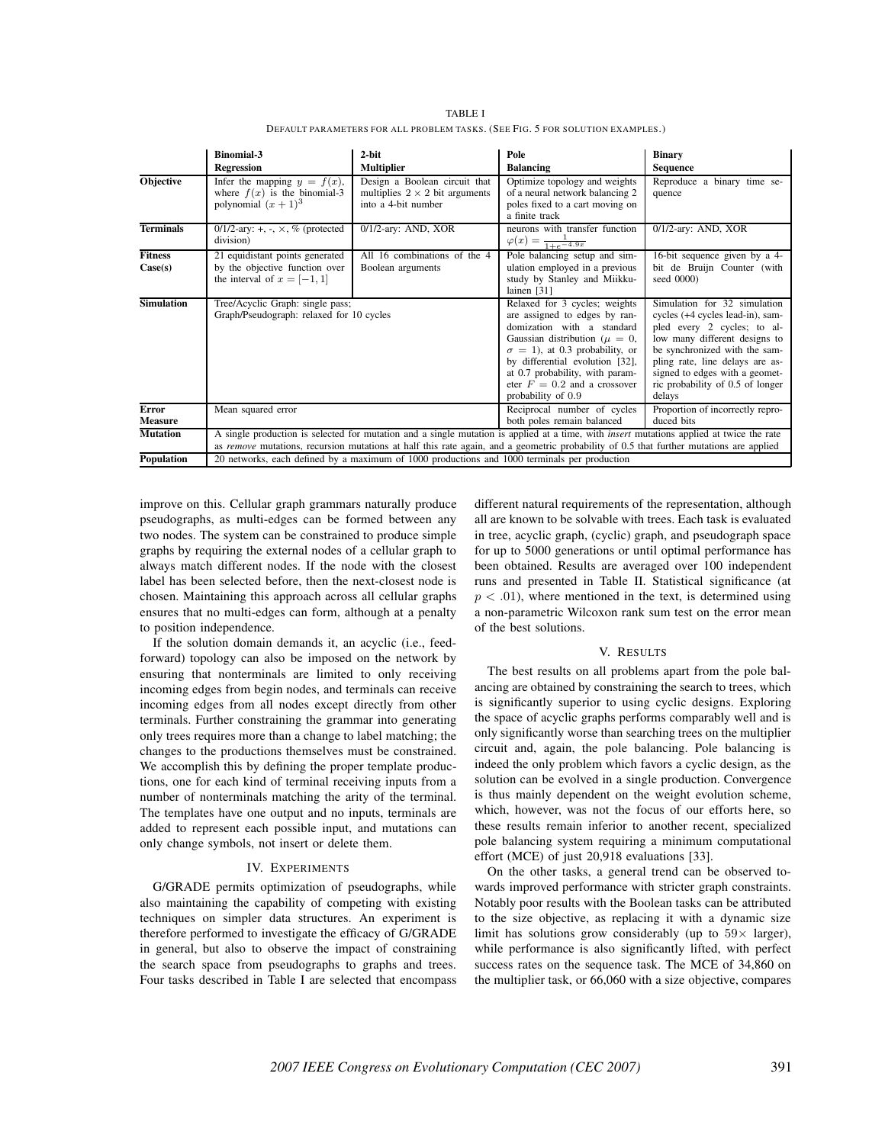|                           | <b>Binomial-3</b><br><b>Regression</b>                                                                                                                                                                                                                                                     | 2-bit<br><b>Multiplier</b>                                                                    | Pole<br><b>Balancing</b>                                                                                                                                                                                                                                                                                    | <b>Binary</b><br><b>Sequence</b>                                                                                                                                                                                                                                                     |  |  |  |  |
|---------------------------|--------------------------------------------------------------------------------------------------------------------------------------------------------------------------------------------------------------------------------------------------------------------------------------------|-----------------------------------------------------------------------------------------------|-------------------------------------------------------------------------------------------------------------------------------------------------------------------------------------------------------------------------------------------------------------------------------------------------------------|--------------------------------------------------------------------------------------------------------------------------------------------------------------------------------------------------------------------------------------------------------------------------------------|--|--|--|--|
| Objective                 | Infer the mapping $y = f(x)$ ,<br>where $f(x)$ is the binomial-3<br>polynomial $(x+1)^3$                                                                                                                                                                                                   | Design a Boolean circuit that<br>multiplies $2 \times 2$ bit arguments<br>into a 4-bit number | Optimize topology and weights<br>of a neural network balancing 2<br>poles fixed to a cart moving on<br>a finite track                                                                                                                                                                                       | Reproduce a binary time se-<br>quence                                                                                                                                                                                                                                                |  |  |  |  |
| <b>Terminals</b>          | 0/1/2-ary: $+, \neg, \times, \%$ (protected<br>division)                                                                                                                                                                                                                                   | $0/1/2$ -ary: AND, XOR                                                                        | neurons with transfer function<br>$\varphi(x) = \frac{1}{1+e^{-4.9x}}$                                                                                                                                                                                                                                      | $0/1/2$ -ary: AND, XOR                                                                                                                                                                                                                                                               |  |  |  |  |
| <b>Fitness</b><br>Case(s) | 21 equidistant points generated<br>by the objective function over<br>the interval of $x = [-1, 1]$                                                                                                                                                                                         | All 16 combinations of the 4<br>Boolean arguments                                             | Pole balancing setup and sim-<br>ulation employed in a previous<br>study by Stanley and Miikku-<br>lainen $[31]$                                                                                                                                                                                            | 16-bit sequence given by a 4-<br>bit de Bruijn Counter (with<br>seed $0000$ )                                                                                                                                                                                                        |  |  |  |  |
| <b>Simulation</b>         | Tree/Acyclic Graph: single pass;<br>Graph/Pseudograph: relaxed for 10 cycles                                                                                                                                                                                                               |                                                                                               | Relaxed for 3 cycles; weights<br>are assigned to edges by ran-<br>domization with a standard<br>Gaussian distribution ( $\mu = 0$ ,<br>$\sigma = 1$ ), at 0.3 probability, or<br>by differential evolution [32],<br>at 0.7 probability, with param-<br>eter $F = 0.2$ and a crossover<br>probability of 0.9 | Simulation for 32 simulation<br>cycles (+4 cycles lead-in), sam-<br>pled every 2 cycles; to al-<br>low many different designs to<br>be synchronized with the sam-<br>pling rate, line delays are as-<br>signed to edges with a geomet-<br>ric probability of 0.5 of longer<br>delays |  |  |  |  |
| Error                     | Mean squared error                                                                                                                                                                                                                                                                         |                                                                                               | Reciprocal number of cycles                                                                                                                                                                                                                                                                                 | Proportion of incorrectly repro-                                                                                                                                                                                                                                                     |  |  |  |  |
| <b>Measure</b>            |                                                                                                                                                                                                                                                                                            |                                                                                               | both poles remain balanced                                                                                                                                                                                                                                                                                  | duced bits                                                                                                                                                                                                                                                                           |  |  |  |  |
| <b>Mutation</b>           | A single production is selected for mutation and a single mutation is applied at a time, with <i>insert</i> mutations applied at twice the rate<br>as remove mutations, recursion mutations at half this rate again, and a geometric probability of 0.5 that further mutations are applied |                                                                                               |                                                                                                                                                                                                                                                                                                             |                                                                                                                                                                                                                                                                                      |  |  |  |  |
| <b>Population</b>         | 20 networks, each defined by a maximum of 1000 productions and 1000 terminals per production                                                                                                                                                                                               |                                                                                               |                                                                                                                                                                                                                                                                                                             |                                                                                                                                                                                                                                                                                      |  |  |  |  |

TABLE I DEFAULT PARAMETERS FOR ALL PROBLEM TASKS. (SEE FIG. 5 FOR SOLUTION EXAMPLES.)

improve on this. Cellular graph grammars naturally produce pseudographs, as multi-edges can be formed between any two nodes. The system can be constrained to produce simple graphs by requiring the external nodes of a cellular graph to always match different nodes. If the node with the closest label has been selected before, then the next-closest node is chosen. Maintaining this approach across all cellular graphs ensures that no multi-edges can form, although at a penalty to position independence.

If the solution domain demands it, an acyclic (i.e., feedforward) topology can also be imposed on the network by ensuring that nonterminals are limited to only receiving incoming edges from begin nodes, and terminals can receive incoming edges from all nodes except directly from other terminals. Further constraining the grammar into generating only trees requires more than a change to label matching; the changes to the productions themselves must be constrained. We accomplish this by defining the proper template productions, one for each kind of terminal receiving inputs from a number of nonterminals matching the arity of the terminal. The templates have one output and no inputs, terminals are added to represent each possible input, and mutations can only change symbols, not insert or delete them.

## IV. EXPERIMENTS

G/GRADE permits optimization of pseudographs, while also maintaining the capability of competing with existing techniques on simpler data structures. An experiment is therefore performed to investigate the efficacy of G/GRADE in general, but also to observe the impact of constraining the search space from pseudographs to graphs and trees. Four tasks described in Table I are selected that encompass different natural requirements of the representation, although all are known to be solvable with trees. Each task is evaluated in tree, acyclic graph, (cyclic) graph, and pseudograph space for up to 5000 generations or until optimal performance has been obtained. Results are averaged over 100 independent runs and presented in Table II. Statistical significance (at  $p < .01$ ), where mentioned in the text, is determined using a non-parametric Wilcoxon rank sum test on the error mean of the best solutions.

### V. RESULTS

The best results on all problems apart from the pole balancing are obtained by constraining the search to trees, which is significantly superior to using cyclic designs. Exploring the space of acyclic graphs performs comparably well and is only significantly worse than searching trees on the multiplier circuit and, again, the pole balancing. Pole balancing is indeed the only problem which favors a cyclic design, as the solution can be evolved in a single production. Convergence is thus mainly dependent on the weight evolution scheme, which, however, was not the focus of our efforts here, so these results remain inferior to another recent, specialized pole balancing system requiring a minimum computational effort (MCE) of just 20,918 evaluations [33].

On the other tasks, a general trend can be observed towards improved performance with stricter graph constraints. Notably poor results with the Boolean tasks can be attributed to the size objective, as replacing it with a dynamic size limit has solutions grow considerably (up to  $59\times$  larger), while performance is also significantly lifted, with perfect success rates on the sequence task. The MCE of 34,860 on the multiplier task, or 66,060 with a size objective, compares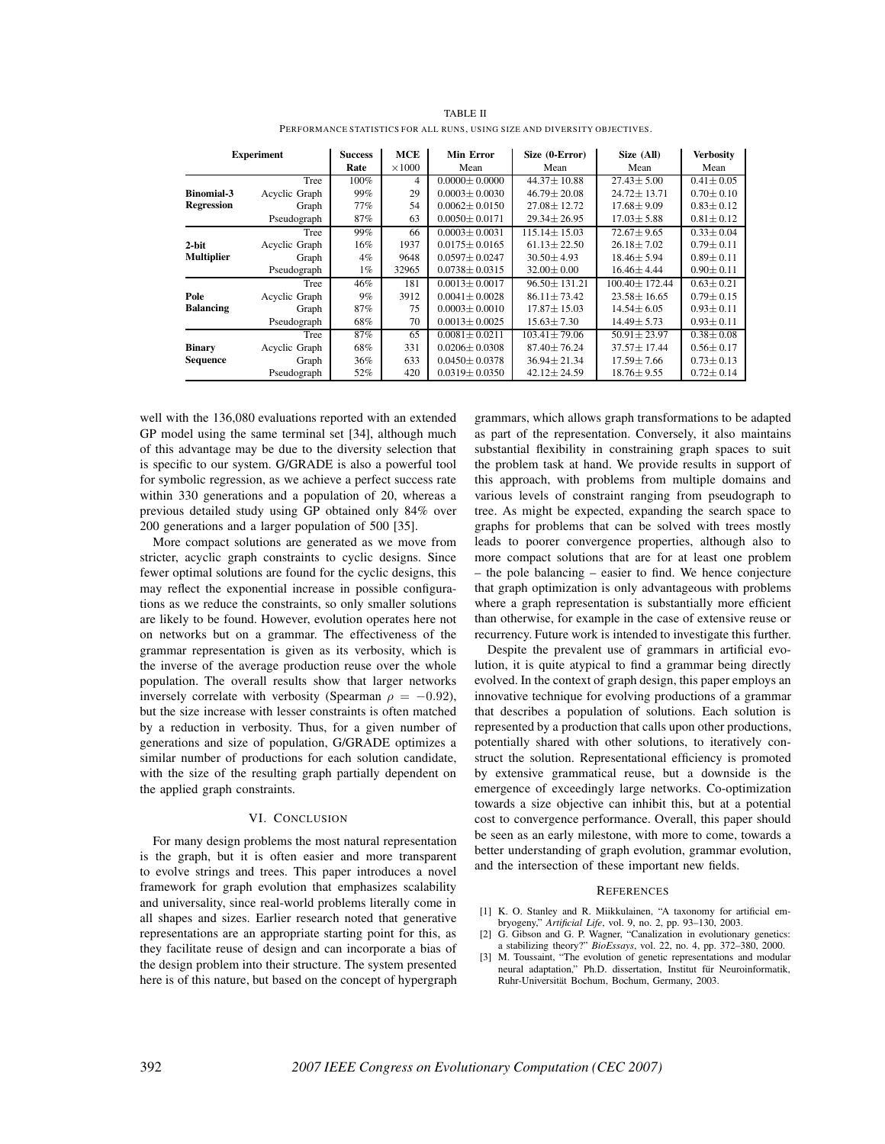| <b>Experiment</b>                      |               | <b>Success</b> | MCE           | Min Error           | Size (0-Error)     | Size (All)        | <b>Verbosity</b> |
|----------------------------------------|---------------|----------------|---------------|---------------------|--------------------|-------------------|------------------|
|                                        |               | Rate           | $\times 1000$ | Mean                | Mean               | Mean              | Mean             |
|                                        | Tree          | $100\%$        | 4             | $0.0000 \pm 0.0000$ | $44.37 \pm 10.88$  | $27.43 \pm 5.00$  | $0.41 \pm 0.05$  |
| <b>Binomial-3</b><br><b>Regression</b> | Acyclic Graph | 99%            | 29            | $0.0003 \pm 0.0030$ | $46.79 \pm 20.08$  | $24.72 \pm 13.71$ | $0.70 \pm 0.10$  |
|                                        | Graph         | 77%            | 54            | $0.0062 \pm 0.0150$ | $27.08 \pm 12.72$  | $17.68 \pm 9.09$  | $0.83 \pm 0.12$  |
|                                        | Pseudograph   | 87%            | 63            | $0.0050 \pm 0.0171$ | $29.34 \pm 26.95$  | $17.03 \pm 5.88$  | $0.81 \pm 0.12$  |
| $2$ -bit<br><b>Multiplier</b>          | Tree          | 99%            | 66            | $0.0003 \pm 0.0031$ | $115.14 + 15.03$   | $72.67 \pm 9.65$  | $0.33 \pm 0.04$  |
|                                        | Acyclic Graph | 16%            | 1937          | $0.0175 \pm 0.0165$ | $61.13 \pm 22.50$  | $26.18 \pm 7.02$  | $0.79 \pm 0.11$  |
|                                        | Graph         | $4\%$          | 9648          | $0.0597 \pm 0.0247$ | $30.50 \pm 4.93$   | $18.46 \pm 5.94$  | $0.89 \pm 0.11$  |
|                                        | Pseudograph   | $1\%$          | 32965         | $0.0738 \pm 0.0315$ | $32.00 \pm 0.00$   | $16.46 \pm 4.44$  | $0.90 \pm 0.11$  |
|                                        | Tree          | 46%            | 181           | $0.0013 \pm 0.0017$ | $96.50 \pm 131.21$ | $100.40 + 172.44$ | $0.63 \pm 0.21$  |
| Pole<br><b>Balancing</b>               | Acyclic Graph | 9%             | 3912          | $0.0041 \pm 0.0028$ | $86.11 \pm 73.42$  | $23.58 \pm 16.65$ | $0.79 \pm 0.15$  |
|                                        | Graph         | 87%            | 75            | $0.0003 \pm 0.0010$ | $17.87 + 15.03$    | $14.54 \pm 6.05$  | $0.93 + 0.11$    |
|                                        | Pseudograph   | 68%            | 70            | $0.0013 \pm 0.0025$ | $15.63 \pm 7.30$   | $14.49 \pm 5.73$  | $0.93 \pm 0.11$  |
| <b>Binary</b><br><b>Sequence</b>       | Tree          | 87%            | 65            | $0.0081 \pm 0.0211$ | $103.41 \pm 79.06$ | $50.91 \pm 23.97$ | $0.38 \pm 0.08$  |
|                                        | Acyclic Graph | 68%            | 331           | $0.0206 \pm 0.0308$ | $87.40 \pm 76.24$  | $37.57 \pm 17.44$ | $0.56 \pm 0.17$  |
|                                        | Graph         | $36\%$         | 633           | $0.0450 \pm 0.0378$ | $36.94 \pm 21.34$  | $17.59 \pm 7.66$  | $0.73 \pm 0.13$  |
|                                        | Pseudograph   | 52%            | 420           | $0.0319 \pm 0.0350$ | $42.12 \pm 24.59$  | $18.76 \pm 9.55$  | $0.72 \pm 0.14$  |

TABLE II PERFORMANCE STATISTICS FOR ALL RUNS, USING SIZE AND DIVERSITY OBJECTIVES.

well with the 136,080 evaluations reported with an extended GP model using the same terminal set [34], although much of this advantage may be due to the diversity selection that is specific to our system. G/GRADE is also a powerful tool for symbolic regression, as we achieve a perfect success rate within 330 generations and a population of 20, whereas a previous detailed study using GP obtained only 84% over 200 generations and a larger population of 500 [35].

More compact solutions are generated as we move from stricter, acyclic graph constraints to cyclic designs. Since fewer optimal solutions are found for the cyclic designs, this may reflect the exponential increase in possible configurations as we reduce the constraints, so only smaller solutions are likely to be found. However, evolution operates here not on networks but on a grammar. The effectiveness of the grammar representation is given as its verbosity, which is the inverse of the average production reuse over the whole population. The overall results show that larger networks inversely correlate with verbosity (Spearman  $\rho = -0.92$ ), but the size increase with lesser constraints is often matched by a reduction in verbosity. Thus, for a given number of generations and size of population, G/GRADE optimizes a similar number of productions for each solution candidate, with the size of the resulting graph partially dependent on the applied graph constraints.

## VI. CONCLUSION

For many design problems the most natural representation is the graph, but it is often easier and more transparent to evolve strings and trees. This paper introduces a novel framework for graph evolution that emphasizes scalability and universality, since real-world problems literally come in all shapes and sizes. Earlier research noted that generative representations are an appropriate starting point for this, as they facilitate reuse of design and can incorporate a bias of the design problem into their structure. The system presented here is of this nature, but based on the concept of hypergraph

grammars, which allows graph transformations to be adapted as part of the representation. Conversely, it also maintains substantial flexibility in constraining graph spaces to suit the problem task at hand. We provide results in support of this approach, with problems from multiple domains and various levels of constraint ranging from pseudograph to tree. As might be expected, expanding the search space to graphs for problems that can be solved with trees mostly leads to poorer convergence properties, although also to more compact solutions that are for at least one problem – the pole balancing – easier to find. We hence conjecture that graph optimization is only advantageous with problems where a graph representation is substantially more efficient than otherwise, for example in the case of extensive reuse or recurrency. Future work is intended to investigate this further.

Despite the prevalent use of grammars in artificial evolution, it is quite atypical to find a grammar being directly evolved. In the context of graph design, this paper employs an innovative technique for evolving productions of a grammar that describes a population of solutions. Each solution is represented by a production that calls upon other productions, potentially shared with other solutions, to iteratively construct the solution. Representational efficiency is promoted by extensive grammatical reuse, but a downside is the emergence of exceedingly large networks. Co-optimization towards a size objective can inhibit this, but at a potential cost to convergence performance. Overall, this paper should be seen as an early milestone, with more to come, towards a better understanding of graph evolution, grammar evolution, and the intersection of these important new fields.

#### **REFERENCES**

- [1] K. O. Stanley and R. Miikkulainen, "A taxonomy for artificial embryogeny," *Artificial Life*, vol. 9, no. 2, pp. 93–130, 2003.
- [2] G. Gibson and G. P. Wagner, "Canalization in evolutionary genetics: a stabilizing theory?" *BioEssays*, vol. 22, no. 4, pp. 372–380, 2000.
- [3] M. Toussaint, "The evolution of genetic representations and modular neural adaptation," Ph.D. dissertation, Institut für Neuroinformatik, Ruhr-Universität Bochum, Bochum, Germany, 2003.